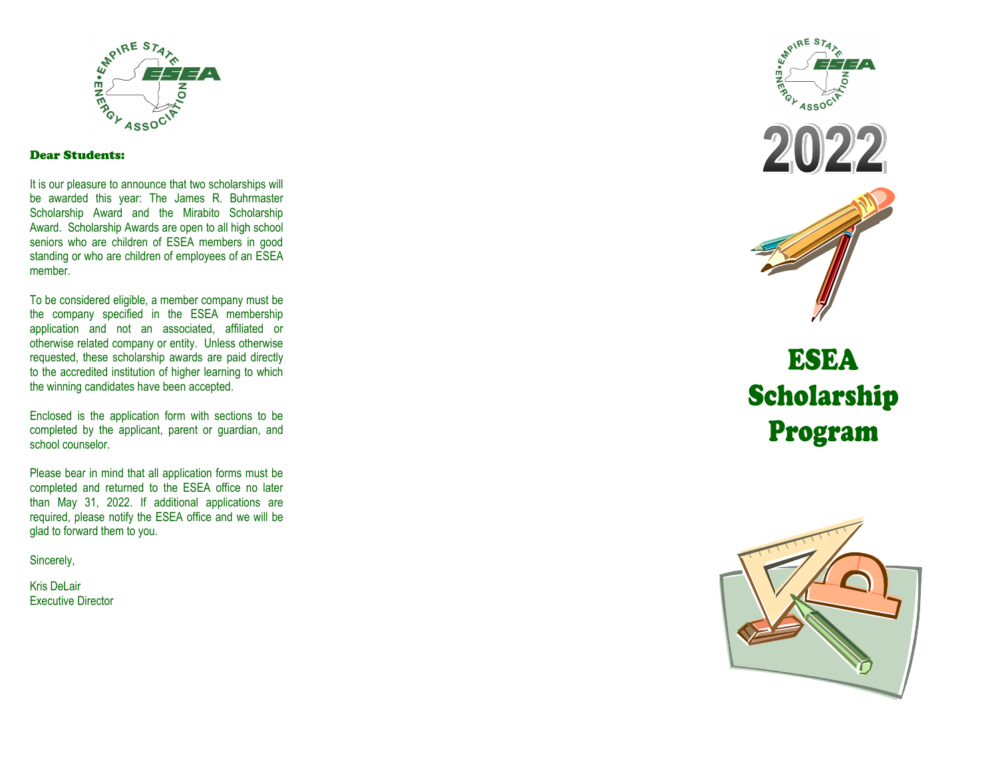

#### Dear Students:

It is our pleasure to announce that two scholarships will be awarded this year: The James R. Buhrmaster Scholarship Award and the Mirabito Scholarship Award. Scholarship Awards are open to all high school seniors who are children of ESEA members in good standing or who are children of employees of an ESEA member.

To be considered eligible, a member company must be the company specified in the ESEA membership application and not an associated, affiliated or otherwise related company or entity. Unless otherwise requested, these scholarship awards are paid directly to the accredited institution of higher learning to which the winning candidates have been accepted.

Enclosed is the application form with sections to be completed by the applicant, parent or guardian, and school counselor.

Please bear in mind that all application forms must be completed and returned to the ESEA office no later than May 31, 2022. If additional applications are required, please notify the ESEA office and we will be glad to forward them to you.

Sincerely,

Kris DeLair Executive Director







# **ESEA** Scholarship Program